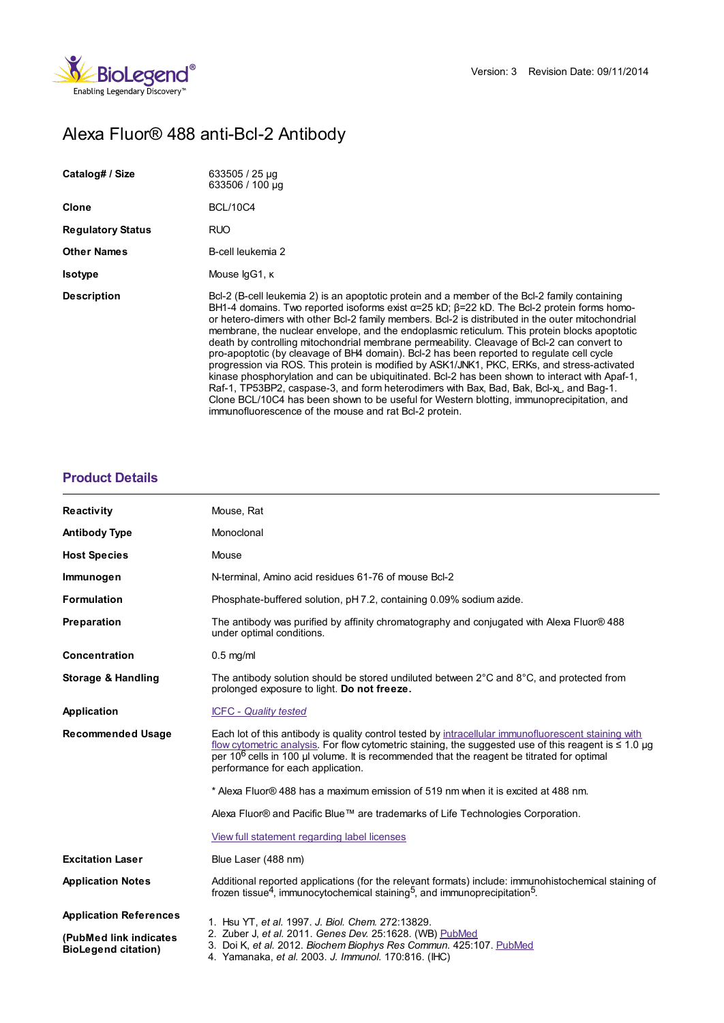

# Alexa Fluor® 488 anti-Bcl-2 Antibody

| Catalog# / Size          | $633505/25 \mu q$<br>633506 / 100 µg                                                                                                                                                                                                                                                                                                                                                                                                                                                                                                                                                                                                                                                                                                                                                                                                                                                                                                                                                                                                                                       |
|--------------------------|----------------------------------------------------------------------------------------------------------------------------------------------------------------------------------------------------------------------------------------------------------------------------------------------------------------------------------------------------------------------------------------------------------------------------------------------------------------------------------------------------------------------------------------------------------------------------------------------------------------------------------------------------------------------------------------------------------------------------------------------------------------------------------------------------------------------------------------------------------------------------------------------------------------------------------------------------------------------------------------------------------------------------------------------------------------------------|
| Clone                    | <b>BCL/10C4</b>                                                                                                                                                                                                                                                                                                                                                                                                                                                                                                                                                                                                                                                                                                                                                                                                                                                                                                                                                                                                                                                            |
| <b>Regulatory Status</b> | RUO                                                                                                                                                                                                                                                                                                                                                                                                                                                                                                                                                                                                                                                                                                                                                                                                                                                                                                                                                                                                                                                                        |
| <b>Other Names</b>       | B-cell leukemia 2                                                                                                                                                                                                                                                                                                                                                                                                                                                                                                                                                                                                                                                                                                                                                                                                                                                                                                                                                                                                                                                          |
| <b>Isotype</b>           | Mouse IgG1, K                                                                                                                                                                                                                                                                                                                                                                                                                                                                                                                                                                                                                                                                                                                                                                                                                                                                                                                                                                                                                                                              |
| <b>Description</b>       | Bcl-2 (B-cell leukemia 2) is an apoptotic protein and a member of the Bcl-2 family containing<br>BH1-4 domains. Two reported isoforms exist $\alpha$ =25 kD; $\beta$ =22 kD. The Bcl-2 protein forms homo-<br>or hetero-dimers with other Bcl-2 family members. Bcl-2 is distributed in the outer mitochondrial<br>membrane, the nuclear envelope, and the endoplasmic reticulum. This protein blocks apoptotic<br>death by controlling mitochondrial membrane permeability. Cleavage of Bcl-2 can convert to<br>pro-apoptotic (by cleavage of BH4 domain). Bcl-2 has been reported to regulate cell cycle<br>progression via ROS. This protein is modified by ASK1/JNK1, PKC, ERKs, and stress-activated<br>kinase phosphorylation and can be ubiquitinated. Bcl-2 has been shown to interact with Apaf-1,<br>Raf-1, TP53BP2, caspase-3, and form heterodimers with Bax, Bad, Bak, Bcl-x <sub>L</sub> , and Bag-1.<br>Clone BCL/10C4 has been shown to be useful for Western blotting, immunoprecipitation, and<br>immunofluorescence of the mouse and rat Bcl-2 protein. |

## **[Product](https://www.biolegend.com/it-it/products/alexa-fluor-488-anti-bcl-2-antibody-6346?pdf=true&displayInline=true&leftRightMargin=15&topBottomMargin=15&filename=Alexa Fluor%EF%BF%BD%EF%BF%BD 488 anti-Bcl-2 Antibody.pdf#productDetails) Details**

| Reactivity                                           | Mouse, Rat                                                                                                                                                                                                                                                                                                                                                        |
|------------------------------------------------------|-------------------------------------------------------------------------------------------------------------------------------------------------------------------------------------------------------------------------------------------------------------------------------------------------------------------------------------------------------------------|
| <b>Antibody Type</b>                                 | Monoclonal                                                                                                                                                                                                                                                                                                                                                        |
| <b>Host Species</b>                                  | Mouse                                                                                                                                                                                                                                                                                                                                                             |
| Immunogen                                            | N-terminal, Amino acid residues 61-76 of mouse Bcl-2                                                                                                                                                                                                                                                                                                              |
| <b>Formulation</b>                                   | Phosphate-buffered solution, pH 7.2, containing 0.09% sodium azide.                                                                                                                                                                                                                                                                                               |
| Preparation                                          | The antibody was purified by affinity chromatography and conjugated with Alexa Fluor® 488<br>under optimal conditions.                                                                                                                                                                                                                                            |
| <b>Concentration</b>                                 | $0.5$ mg/ml                                                                                                                                                                                                                                                                                                                                                       |
| <b>Storage &amp; Handling</b>                        | The antibody solution should be stored undiluted between $2^{\circ}$ C and $8^{\circ}$ C, and protected from<br>prolonged exposure to light. Do not freeze.                                                                                                                                                                                                       |
| Application                                          | <b>ICFC - Quality tested</b>                                                                                                                                                                                                                                                                                                                                      |
| <b>Recommended Usage</b>                             | Each lot of this antibody is quality control tested by intracellular immunofluorescent staining with<br>flow cytometric analysis. For flow cytometric staining, the suggested use of this reagent is $\leq 1.0$ µg<br>per 10 <sup>6</sup> cells in 100 µl volume. It is recommended that the reagent be titrated for optimal<br>performance for each application. |
|                                                      | * Alexa Fluor® 488 has a maximum emission of 519 nm when it is excited at 488 nm.                                                                                                                                                                                                                                                                                 |
|                                                      | Alexa Fluor® and Pacific Blue™ are trademarks of Life Technologies Corporation.                                                                                                                                                                                                                                                                                   |
|                                                      | View full statement regarding label licenses                                                                                                                                                                                                                                                                                                                      |
| <b>Excitation Laser</b>                              | Blue Laser (488 nm)                                                                                                                                                                                                                                                                                                                                               |
| <b>Application Notes</b>                             | Additional reported applications (for the relevant formats) include: immunohistochemical staining of<br>frozen tissue <sup>4</sup> , immunocytochemical staining <sup>5</sup> , and immunoprecipitation <sup>5</sup> .                                                                                                                                            |
| <b>Application References</b>                        | 1. Hsu YT, et al. 1997. J. Biol. Chem. 272:13829.                                                                                                                                                                                                                                                                                                                 |
| (PubMed link indicates<br><b>BioLegend citation)</b> | 2. Zuber J, et al. 2011. Genes Dev. 25:1628. (WB) PubMed<br>3. Doi K, et al. 2012. Biochem Biophys Res Commun. 425:107. PubMed<br>4. Yamanaka, et al. 2003. J. Immunol. 170:816. (IHC)                                                                                                                                                                            |